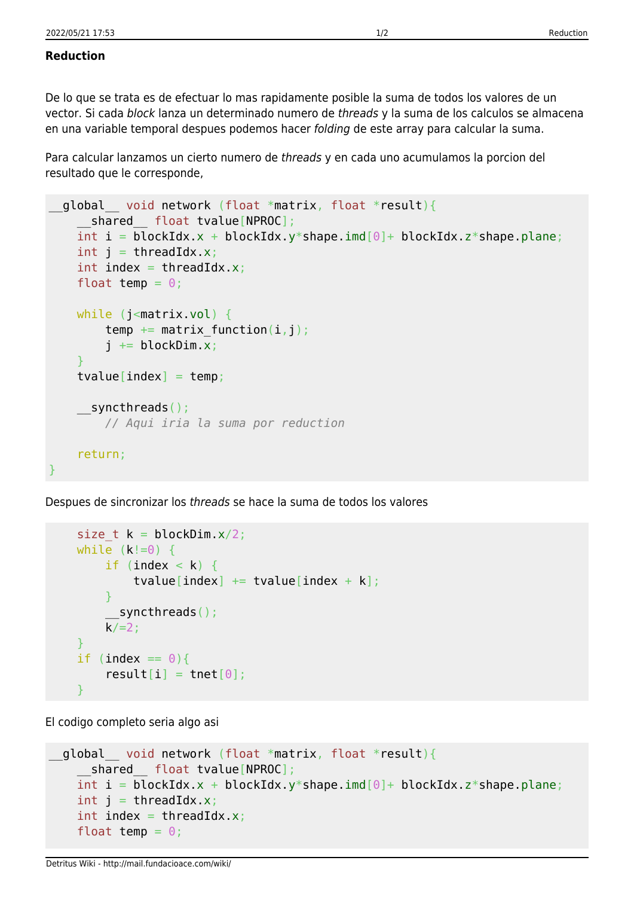## **Reduction**

De lo que se trata es de efectuar lo mas rapidamente posible la suma de todos los valores de un vector. Si cada block lanza un determinado numero de threads y la suma de los calculos se almacena en una variable temporal despues podemos hacer folding de este array para calcular la suma.

Para calcular lanzamos un cierto numero de threads y en cada uno acumulamos la porcion del resultado que le corresponde,

```
global void network (float *matrix, float *result){
     __shared__ float tvalue[NPROC];
   int i = blockIdx.x +blockIdx.y *shape.imd[0] +blockIdx.z *shape.plane;
   int j = threadIdx.x;int index = threadIdx.x;
    float temp = 0;
   while (j<matrix.vol) {
        temp += matrix function(i,j);
        i \leftarrow \text{blockDim.x}; }
    tvalue[index] = temp; __syncthreads();
         // Aqui iria la suma por reduction
     return;
}
```
Despues de sincronizar los threads se hace la suma de todos los valores

```
size t k = 0lockDim.x/2;
    while (k!=0) {
        if (index \langle k \rangle {
             tvalue[index] += tvalue[index + k];
 }
          synchreads();
        k/ = 2:
     }
    if (index == 0) {
        result[i] = tnet[0]; }
```
El codigo completo seria algo asi

```
global void network (float *matrix, float *result){
   shared float tvalue[NPROC];
  int i = blockIdx.x +blockIdx.y *shape.imd[0] +blockIdx.z *shape.plane;
  int j = threadIdx.x;int index = threadIdx.x;
  float temp = 0;
```